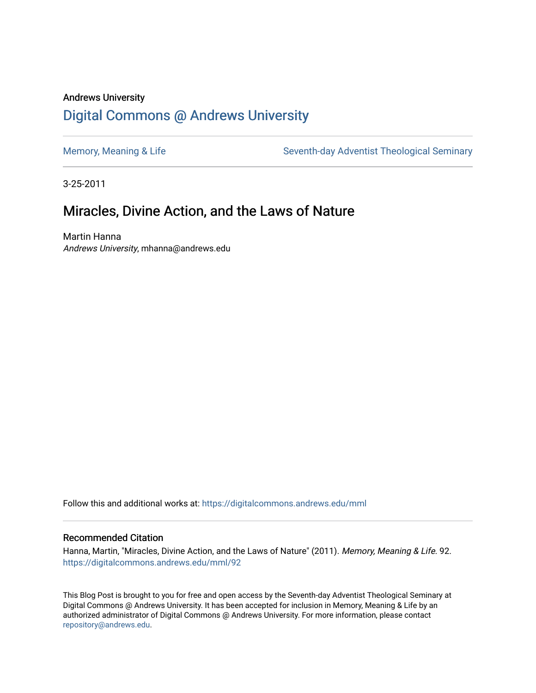# Andrews University [Digital Commons @ Andrews University](https://digitalcommons.andrews.edu/)

[Memory, Meaning & Life](https://digitalcommons.andrews.edu/mml) Seventh-day Adventist Theological Seminary

3-25-2011

# Miracles, Divine Action, and the Laws of Nature

Martin Hanna Andrews University, mhanna@andrews.edu

Follow this and additional works at: [https://digitalcommons.andrews.edu/mml](https://digitalcommons.andrews.edu/mml?utm_source=digitalcommons.andrews.edu%2Fmml%2F92&utm_medium=PDF&utm_campaign=PDFCoverPages) 

#### Recommended Citation

Hanna, Martin, "Miracles, Divine Action, and the Laws of Nature" (2011). Memory, Meaning & Life. 92. [https://digitalcommons.andrews.edu/mml/92](https://digitalcommons.andrews.edu/mml/92?utm_source=digitalcommons.andrews.edu%2Fmml%2F92&utm_medium=PDF&utm_campaign=PDFCoverPages)

This Blog Post is brought to you for free and open access by the Seventh-day Adventist Theological Seminary at Digital Commons @ Andrews University. It has been accepted for inclusion in Memory, Meaning & Life by an authorized administrator of Digital Commons @ Andrews University. For more information, please contact [repository@andrews.edu](mailto:repository@andrews.edu).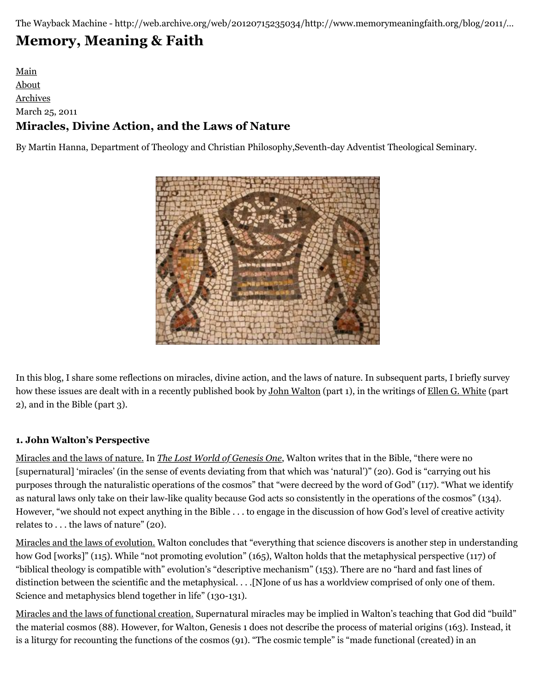The Wayback Machine - http://web.archive.org/web/20120715235034/http://www.memorymeaningfaith.org/blog/2011/…

# **[Memory, Meaning & Faith](http://web.archive.org/web/20120715235034/http://www.memorymeaningfaith.org/blog/)**

[Main](http://web.archive.org/web/20120715235034/http://www.memorymeaningfaith.org/blog) [About](http://web.archive.org/web/20120715235034/http://www.memorymeaningfaith.org/blog/about.html) [Archives](http://web.archive.org/web/20120715235034/http://www.memorymeaningfaith.org/blog/archives.html) March 25, 2011 **Miracles, Divine Action, and the Laws of Nature**

By Martin Hanna, Department of Theology and Christian Philosophy,Seventh-day Adventist Theological Seminary.



In this blog, I share some reflections on miracles, divine action, and the laws of nature. In subsequent parts, I briefly survey how these issues are dealt with in a recently published book by [John Walton](http://web.archive.org/web/20120715235034/http://www.wheaton.edu/Theology/faculty/walton/index.html) (part 1), in the writings of [Ellen G. White](http://web.archive.org/web/20120715235034/http://www.whiteestate.org/) (part 2), and in the Bible (part 3).

## **1. John Walton's Perspective**

Miracles and the laws of nature. In *[The Lost World of Genesis One](http://web.archive.org/web/20120715235034/http://books.google.com/books?id=6qZLAz3TckgC&printsec=frontcover&dq=%22the+lost+world+of+genesis+one%22&source=bl&ots=nUTFEPThA_&sig=DM4tJzCYYk-rpsGxnOzEYPMVxAg&hl=en&ei=4puBTdTuAY63tweN_ty4BA&sa=X&oi=book_result&ct=result&resnum=8&ved=0CFMQ6AEwBw#v=onepage&q&f=false)*, Walton writes that in the Bible, "there were no [supernatural] 'miracles' (in the sense of events deviating from that which was 'natural')" (20). God is "carrying out his purposes through the naturalistic operations of the cosmos" that "were decreed by the word of God" (117). "What we identify as natural laws only take on their law-like quality because God acts so consistently in the operations of the cosmos" (134). However, "we should not expect anything in the Bible . . . to engage in the discussion of how God's level of creative activity relates to . . . the laws of nature" (20).

Miracles and the laws of evolution. Walton concludes that "everything that science discovers is another step in understanding how God [works]" (115). While "not promoting evolution" (165), Walton holds that the metaphysical perspective (117) of "biblical theology is compatible with" evolution's "descriptive mechanism" (153). There are no "hard and fast lines of distinction between the scientific and the metaphysical. . . .[N]one of us has a worldview comprised of only one of them. Science and metaphysics blend together in life" (130-131).

Miracles and the laws of functional creation. Supernatural miracles may be implied in Walton's teaching that God did "build" the material cosmos (88). However, for Walton, Genesis 1 does not describe the process of material origins (163). Instead, it is a liturgy for recounting the functions of the cosmos (91). "The cosmic temple" is "made functional (created) in an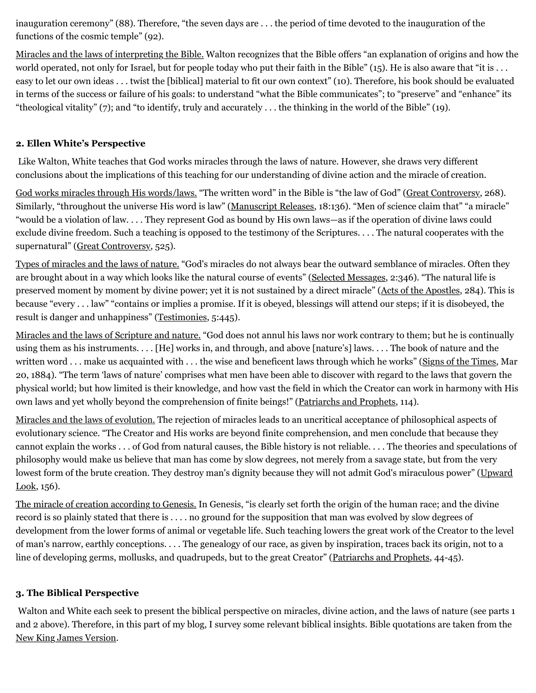inauguration ceremony" (88). Therefore, "the seven days are . . . the period of time devoted to the inauguration of the functions of the cosmic temple" (92).

Miracles and the laws of interpreting the Bible. Walton recognizes that the Bible offers "an explanation of origins and how the world operated, not only for Israel, but for people today who put their faith in the Bible" (15). He is also aware that "it is ... easy to let our own ideas . . . twist the [biblical] material to fit our own context" (10). Therefore, his book should be evaluated in terms of the success or failure of his goals: to understand "what the Bible communicates"; to "preserve" and "enhance" its "theological vitality" (7); and "to identify, truly and accurately . . . the thinking in the world of the Bible" (19).

## **2. Ellen White's Perspective**

Like Walton, White teaches that God works miracles through the laws of nature. However, she draws very different conclusions about the implications of this teaching for our understanding of divine action and the miracle of creation.

God works miracles through His words/laws. "The written word" in the Bible is "the law of God" [\(Great Controversy](http://web.archive.org/web/20120715235034/http://www.whiteestate.org/books/gc/gc.asp), 268). Similarly, "throughout the universe His word is law" ([Manuscript Releases,](http://web.archive.org/web/20120715235034/http://www.whiteestate.org/search/search.asp) 18:136). "Men of science claim that" "a miracle" "would be a violation of law. . . . They represent God as bound by His own laws—as if the operation of divine laws could exclude divine freedom. Such a teaching is opposed to the testimony of the Scriptures. . . . The natural cooperates with the supernatural" ([Great Controversy,](http://web.archive.org/web/20120715235034/http://www.whiteestate.org/books/gc/gc.asp) 525).

Types of miracles and the laws of nature. "God's miracles do not always bear the outward semblance of miracles. Often they are brought about in a way which looks like the natural course of events" [\(Selected Messages,](http://web.archive.org/web/20120715235034/http://www.whiteestate.org/search/search.asp) 2:346). "The natural life is preserved moment by moment by divine power; yet it is not sustained by a direct miracle" [\(Acts of the Apostles](http://web.archive.org/web/20120715235034/http://www.whiteestate.org/books/aa/aa.asp), 284). This is because "every . . . law" "contains or implies a promise. If it is obeyed, blessings will attend our steps; if it is disobeyed, the result is danger and unhappiness" [\(Testimonies](http://web.archive.org/web/20120715235034/http://www.whiteestate.org/search/search.asp), 5:445).

Miracles and the laws of Scripture and nature. "God does not annul his laws nor work contrary to them; but he is continually using them as his instruments. . . . [He] works in, and through, and above [nature's] laws. . . . The book of nature and the written word . . . make us acquainted with . . . the wise and beneficent laws through which he works" ([Signs of the Times,](http://web.archive.org/web/20120715235034/http://www.whiteestate.org/search/search.asp) Mar 20, 1884). "The term 'laws of nature' comprises what men have been able to discover with regard to the laws that govern the physical world; but how limited is their knowledge, and how vast the field in which the Creator can work in harmony with His own laws and yet wholly beyond the comprehension of finite beings!" [\(Patriarchs and Prophets](http://web.archive.org/web/20120715235034/http://www.whiteestate.org/books/pp/pp.asp), 114).

Miracles and the laws of evolution. The rejection of miracles leads to an uncritical acceptance of philosophical aspects of evolutionary science. "The Creator and His works are beyond finite comprehension, and men conclude that because they cannot explain the works . . . of God from natural causes, the Bible history is not reliable. . . . The theories and speculations of philosophy would make us believe that man has come by slow degrees, not merely from a savage state, but from the very [lowest form of the brute creation. They destroy man's dignity because they will not admit God's miraculous power" \(Upward](http://web.archive.org/web/20120715235034/http://www.whiteestate.org/search/search.asp) Look, 156).

The miracle of creation according to Genesis. In Genesis, "is clearly set forth the origin of the human race; and the divine record is so plainly stated that there is . . . . no ground for the supposition that man was evolved by slow degrees of development from the lower forms of animal or vegetable life. Such teaching lowers the great work of the Creator to the level of man's narrow, earthly conceptions. . . . The genealogy of our race, as given by inspiration, traces back its origin, not to a line of developing germs, mollusks, and quadrupeds, but to the great Creator" ([Patriarchs and Prophets,](http://web.archive.org/web/20120715235034/http://www.whiteestate.org/books/pp/pp.asp) 44-45).

## **3. The Biblical Perspective**

Walton and White each seek to present the biblical perspective on miracles, divine action, and the laws of nature (see parts 1 and 2 above). Therefore, in this part of my blog, I survey some relevant biblical insights. Bible quotations are taken from the [New King James Version.](http://web.archive.org/web/20120715235034/http://www.biblegateway.com/versions/New-King-James-Version-NKJV-Bible/)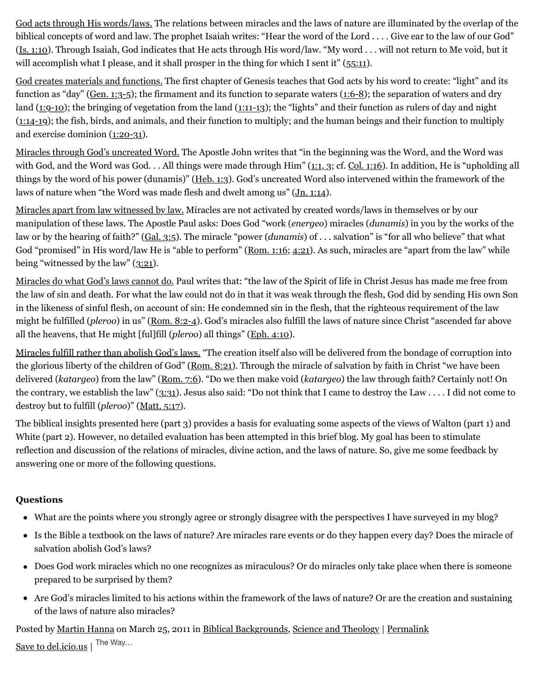God acts through His words/laws. The relations between miracles and the laws of nature are illuminated by the overlap of the biblical concepts of word and law. The prophet Isaiah writes: "Hear the word of the Lord . . . . Give ear to the law of our God" ([Is. 1:10](http://web.archive.org/web/20120715235034/http://www.biblegateway.com/passage/?search=Is.%201:10&version=NKJV)). Through Isaiah, God indicates that He acts through His word/law. "My word . . . will not return to Me void, but it will accomplish what I please, and it shall prosper in the thing for which I sent it" ([55:11\)](http://web.archive.org/web/20120715235034/http://www.biblegateway.com/passage/?search=Is.%2055:11&version=NKJV).

God creates materials and functions. The first chapter of Genesis teaches that God acts by his word to create: "light" and its function as "day" ([Gen. 1:3-5\)](http://web.archive.org/web/20120715235034/http://www.biblegateway.com/passage/?search=Gen.%201:3-5&version=NKJV); the firmament and its function to separate waters  $(1:6-8)$ ; the separation of waters and dry land ([1:9-10](http://web.archive.org/web/20120715235034/http://www.biblegateway.com/passage/?search=Gen%201:9-10&version=NKJV)); the bringing of vegetation from the land [\(1:11-13\)](http://web.archive.org/web/20120715235034/http://www.biblegateway.com/passage/?search=Gen%201:11-13&version=NKJV); the "lights" and their function as rulers of day and night ([1:14-19](http://web.archive.org/web/20120715235034/http://www.biblegateway.com/passage/?search=Gen%201:14-19&version=NKJV)); the fish, birds, and animals, and their function to multiply; and the human beings and their function to multiply and exercise dominion [\(1:20-31](http://web.archive.org/web/20120715235034/http://www.biblegateway.com/passage/?search=Gen%201:20-31&version=NKJV)).

Miracles through God's uncreated Word. The Apostle John writes that "in the beginning was the Word, and the Word was with God, and the Word was God. . . All things were made through Him" [\(1:1, 3;](http://web.archive.org/web/20120715235034/http://www.biblegateway.com/passage/?search=John%201:1,%203&version=NKJV) cf. [Col. 1:16\)](http://web.archive.org/web/20120715235034/http://www.biblegateway.com/passage/?search=Col.%201:16&version=NKJV). In addition, He is "upholding all things by the word of his power (dunamis)" ([Heb. 1:3](http://web.archive.org/web/20120715235034/http://www.biblegateway.com/passage/?search=Heb.%201:3&version=NKJV)). God's uncreated Word also intervened within the framework of the laws of nature when "the Word was made flesh and dwelt among us" [\(Jn. 1:14](http://web.archive.org/web/20120715235034/http://www.biblegateway.com/passage/?search=Jn.%201:14&version=NKJV)).

Miracles apart from law witnessed by law. Miracles are not activated by created words/laws in themselves or by our manipulation of these laws. The Apostle Paul asks: Does God "work (*energeo*) miracles (*dunamis*) in you by the works of the law or by the hearing of faith?" [\(Gal. 3:5\)](http://web.archive.org/web/20120715235034/http://www.biblegateway.com/passage/?search=Gal.%203:5&version=NKJV). The miracle "power (*dunamis*) of . . . salvation" is "for all who believe" that what God "promised" in His word/law He is "able to perform" [\(Rom. 1:16;](http://web.archive.org/web/20120715235034/http://www.biblegateway.com/passage/?search=Rom.%201:16&version=NKJV) [4:21\)](http://web.archive.org/web/20120715235034/http://www.biblegateway.com/passage/?search=Rom.%204:21&version=NKJV). As such, miracles are "apart from the law" while being "witnessed by the law" [\(3:21\)](http://web.archive.org/web/20120715235034/http://www.biblegateway.com/passage/?search=Rom.%203:21&version=NKJV).

Miracles do what God's laws cannot do. Paul writes that: "the law of the Spirit of life in Christ Jesus has made me free from the law of sin and death. For what the law could not do in that it was weak through the flesh, God did by sending His own Son in the likeness of sinful flesh, on account of sin: He condemned sin in the flesh, that the righteous requirement of the law might be fulfilled (*pleroo*) in us" [\(Rom. 8:2-4\)](http://web.archive.org/web/20120715235034/http://www.biblegateway.com/passage/?search=Rom.%208:2-4&version=NKJV). God's miracles also fulfill the laws of nature since Christ "ascended far above all the heavens, that He might [ful]fill (*pleroo*) all things" [\(Eph. 4:10](http://web.archive.org/web/20120715235034/http://www.biblegateway.com/passage/?search=Eph.%204:10&version=NKJV)).

Miracles fulfill rather than abolish God's laws. "The creation itself also will be delivered from the bondage of corruption into the glorious liberty of the children of God" ([Rom. 8:21](http://web.archive.org/web/20120715235034/http://www.biblegateway.com/passage/?search=Rom.%208:21&version=NKJV)). Through the miracle of salvation by faith in Christ "we have been delivered (*katargeo*) from the law" [\(Rom. 7:6\)](http://web.archive.org/web/20120715235034/http://www.biblegateway.com/passage/?search=Rom.%207:6&version=NKJV). "Do we then make void (*katargeo*) the law through faith? Certainly not! On the contrary, we establish the law" ([3:31\)](http://web.archive.org/web/20120715235034/http://www.biblegateway.com/passage/?search=Rom.%203:31&version=NKJV). Jesus also said: "Do not think that I came to destroy the Law . . . . I did not come to destroy but to fulfill (*pleroo*)" ([Matt. 5:17\)](http://web.archive.org/web/20120715235034/http://www.biblegateway.com/passage/?search=Matt.%205:17&version=NKJV).

The biblical insights presented here (part 3) provides a basis for evaluating some aspects of the views of Walton (part 1) and White (part 2). However, no detailed evaluation has been attempted in this brief blog. My goal has been to stimulate reflection and discussion of the relations of miracles, divine action, and the laws of nature. So, give me some feedback by answering one or more of the following questions.

## **Questions**

- What are the points where you strongly agree or strongly disagree with the perspectives I have surveyed in my blog?
- Is the Bible a textbook on the laws of nature? Are miracles rare events or do they happen every day? Does the miracle of salvation abolish God's laws?
- Does God work miracles which no one recognizes as miraculous? Or do miracles only take place when there is someone prepared to be surprised by them?
- Are God's miracles limited to his actions within the framework of the laws of nature? Or are the creation and sustaining of the laws of nature also miracles?

Posted by [Martin Hanna](http://web.archive.org/web/20120715235034/http://profile.typepad.com/mhanna) on March 25, 2011 in [Biblical Backgrounds](http://web.archive.org/web/20120715235034/http://www.memorymeaningfaith.org/blog/biblical-backgrounds/), [Science and Theology](http://web.archive.org/web/20120715235034/http://www.memorymeaningfaith.org/blog/science-and-theology/) | [Permalink](http://web.archive.org/web/20120715235034/http://www.memorymeaningfaith.org/blog/2011/03/miracles-divine-action-and-the-laws-of-nature.html) [Save to del.icio.us](http://web.archive.org/web/20120715235034/http://del.icio.us/post) | The Way...